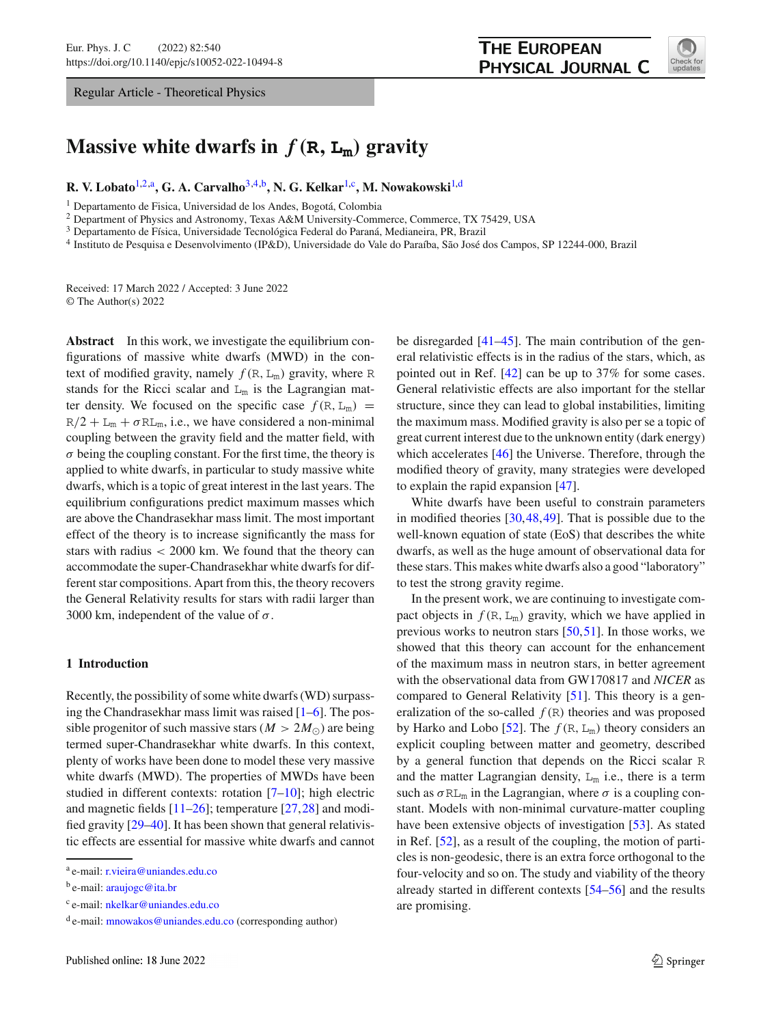Regular Article - Theoretical Physics



# **Massive white dwarfs in**  $f(\mathbf{R}, \mathbf{L}_m)$  gravity

**R. V. Lobato**[1,2,](#page-0-0)a**, G. A. Carvalho**[3](#page-0-1)[,4,](#page-0-2)b**, N. G. Kelkar**[1,](#page-0-0)c**, M. Nowakowski**[1,](#page-0-0)d

<sup>1</sup> Departamento de Fisica, Universidad de los Andes, Bogotá, Colombia

<sup>2</sup> Department of Physics and Astronomy, Texas A&M University-Commerce, Commerce, TX 75429, USA

<sup>3</sup> Departamento de Física, Universidade Tecnológica Federal do Paraná, Medianeira, PR, Brazil

<sup>4</sup> Instituto de Pesquisa e Desenvolvimento (IP&D), Universidade do Vale do Paraíba, São José dos Campos, SP 12244-000, Brazil

Received: 17 March 2022 / Accepted: 3 June 2022 © The Author(s) 2022

**Abstract** In this work, we investigate the equilibrium configurations of massive white dwarfs (MWD) in the context of modified gravity, namely  $f(R, L_m)$  gravity, where R stands for the Ricci scalar and  $L_m$  is the Lagrangian matter density. We focused on the specific case  $f(R, L_m)$  =  $R/2 + L_m + \sigma R L_m$ , i.e., we have considered a non-minimal coupling between the gravity field and the matter field, with  $\sigma$  being the coupling constant. For the first time, the theory is applied to white dwarfs, in particular to study massive white dwarfs, which is a topic of great interest in the last years. The equilibrium configurations predict maximum masses which are above the Chandrasekhar mass limit. The most important effect of the theory is to increase significantly the mass for stars with radius < 2000 km. We found that the theory can accommodate the super-Chandrasekhar white dwarfs for different star compositions. Apart from this, the theory recovers the General Relativity results for stars with radii larger than 3000 km, independent of the value of  $\sigma$ .

## **1 Introduction**

Recently, the possibility of some white dwarfs (WD) surpassing the Chandrasekhar mass limit was raised  $[1-6]$  $[1-6]$ . The possible progenitor of such massive stars ( $M > 2M_{\odot}$ ) are being termed super-Chandrasekhar white dwarfs. In this context, plenty of works have been done to model these very massive white dwarfs (MWD). The properties of MWDs have been studied in different contexts: rotation [\[7](#page-7-2)[–10](#page-7-3)]; high electric and magnetic fields  $[11–26]$  $[11–26]$  $[11–26]$ ; temperature  $[27,28]$  $[27,28]$  $[27,28]$  and modified gravity [\[29](#page-8-0)[–40](#page-8-1)]. It has been shown that general relativistic effects are essential for massive white dwarfs and cannot

<span id="page-0-2"></span><span id="page-0-1"></span><span id="page-0-0"></span>be disregarded [\[41](#page-8-2)[–45\]](#page-8-3). The main contribution of the general relativistic effects is in the radius of the stars, which, as pointed out in Ref. [\[42\]](#page-8-4) can be up to 37% for some cases. General relativistic effects are also important for the stellar structure, since they can lead to global instabilities, limiting the maximum mass. Modified gravity is also per se a topic of great current interest due to the unknown entity (dark energy) which accelerates [\[46\]](#page-8-5) the Universe. Therefore, through the modified theory of gravity, many strategies were developed to explain the rapid expansion [\[47\]](#page-8-6).

White dwarfs have been useful to constrain parameters in modified theories [\[30](#page-8-7)[,48](#page-8-8)[,49](#page-8-9)]. That is possible due to the well-known equation of state (EoS) that describes the white dwarfs, as well as the huge amount of observational data for these stars. This makes white dwarfs also a good "laboratory" to test the strong gravity regime.

In the present work, we are continuing to investigate compact objects in  $f(R, L_m)$  gravity, which we have applied in previous works to neutron stars [\[50](#page-8-10)[,51](#page-8-11)]. In those works, we showed that this theory can account for the enhancement of the maximum mass in neutron stars, in better agreement with the observational data from GW170817 and *NICER* as compared to General Relativity [\[51](#page-8-11)]. This theory is a generalization of the so-called  $f(R)$  theories and was proposed by Harko and Lobo [\[52](#page-8-12)]. The  $f(R, L_m)$  theory considers an explicit coupling between matter and geometry, described by a general function that depends on the Ricci scalar R and the matter Lagrangian density,  $L_m$  i.e., there is a term such as  $\sigma R_{\text{Lm}}$  in the Lagrangian, where  $\sigma$  is a coupling constant. Models with non-minimal curvature-matter coupling have been extensive objects of investigation [\[53](#page-8-13)]. As stated in Ref. [\[52](#page-8-12)], as a result of the coupling, the motion of particles is non-geodesic, there is an extra force orthogonal to the four-velocity and so on. The study and viability of the theory already started in different contexts [\[54](#page-8-14)[–56\]](#page-8-15) and the results are promising.

<sup>a</sup> e-mail: [r.vieira@uniandes.edu.co](mailto:r.vieira@uniandes.edu.co)

 $<sup>b</sup>$  e-mail: [araujogc@ita.br](mailto:araujogc@ita.br)</sup>

<sup>c</sup> e-mail: [nkelkar@uniandes.edu.co](mailto:nkelkar@uniandes.edu.co)

<sup>d</sup> e-mail: [mnowakos@uniandes.edu.co](mailto:mnowakos@uniandes.edu.co) (corresponding author)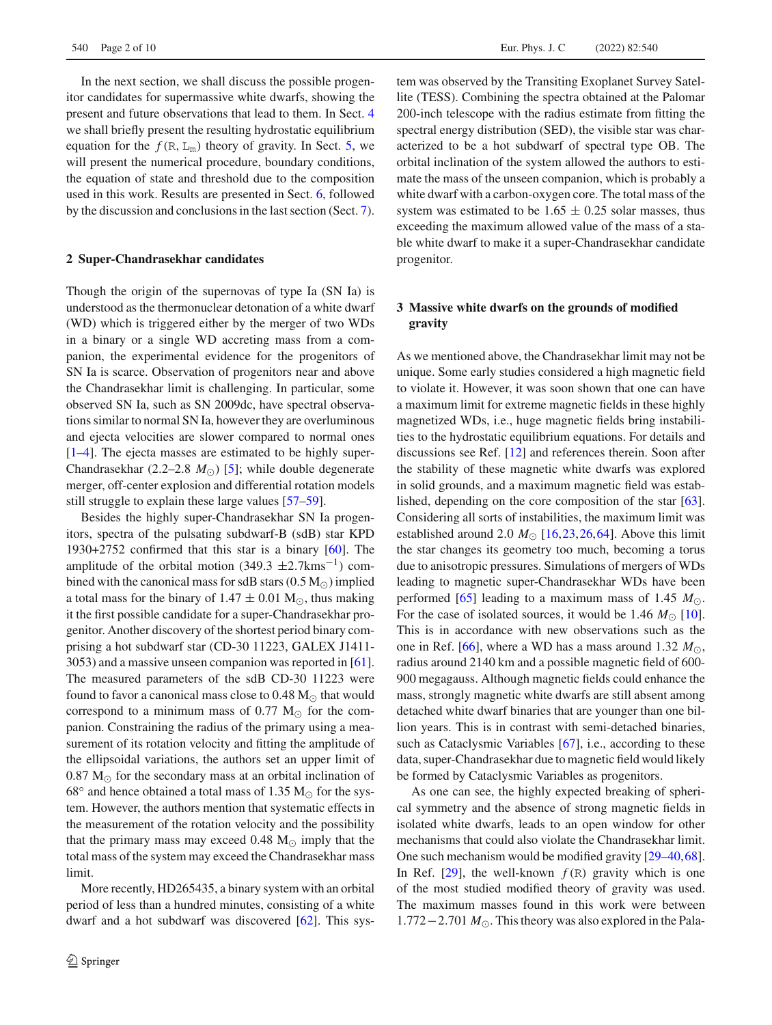In the next section, we shall discuss the possible progenitor candidates for supermassive white dwarfs, showing the present and future observations that lead to them. In Sect. [4](#page-2-0) we shall briefly present the resulting hydrostatic equilibrium equation for the  $f(R, L_m)$  theory of gravity. In Sect. [5,](#page-3-0) we will present the numerical procedure, boundary conditions, the equation of state and threshold due to the composition used in this work. Results are presented in Sect. [6,](#page-3-1) followed by the discussion and conclusions in the last section (Sect. [7\)](#page-5-0).

### **2 Super-Chandrasekhar candidates**

Though the origin of the supernovas of type Ia (SN Ia) is understood as the thermonuclear detonation of a white dwarf (WD) which is triggered either by the merger of two WDs in a binary or a single WD accreting mass from a companion, the experimental evidence for the progenitors of SN Ia is scarce. Observation of progenitors near and above the Chandrasekhar limit is challenging. In particular, some observed SN Ia, such as SN 2009dc, have spectral observations similar to normal SN Ia, however they are overluminous and ejecta velocities are slower compared to normal ones [\[1](#page-7-0)[–4](#page-7-8)]. The ejecta masses are estimated to be highly super-Chandrasekhar  $(2.2-2.8 \, M_{\odot})$  [\[5\]](#page-7-9); while double degenerate merger, off-center explosion and differential rotation models still struggle to explain these large values [\[57](#page-8-16)[–59](#page-8-17)].

Besides the highly super-Chandrasekhar SN Ia progenitors, spectra of the pulsating subdwarf-B (sdB) star KPD 1930+2752 confirmed that this star is a binary [\[60\]](#page-8-18). The amplitude of the orbital motion (349.3  $\pm$ 2.7kms<sup>-1</sup>) combined with the canonical mass for sdB stars  $(0.5 M_{\odot})$  implied a total mass for the binary of  $1.47 \pm 0.01$  M<sub> $\odot$ </sub>, thus making it the first possible candidate for a super-Chandrasekhar progenitor. Another discovery of the shortest period binary comprising a hot subdwarf star (CD-30 11223, GALEX J1411- 3053) and a massive unseen companion was reported in [\[61](#page-8-19)]. The measured parameters of the sdB CD-30 11223 were found to favor a canonical mass close to  $0.48 \, \text{M}_{\odot}$  that would correspond to a minimum mass of  $0.77 \text{ M}_{\odot}$  for the companion. Constraining the radius of the primary using a measurement of its rotation velocity and fitting the amplitude of the ellipsoidal variations, the authors set an upper limit of  $0.87 M_{\odot}$  for the secondary mass at an orbital inclination of 68 $\degree$  and hence obtained a total mass of 1.35 M<sub> $\odot$ </sub> for the system. However, the authors mention that systematic effects in the measurement of the rotation velocity and the possibility that the primary mass may exceed  $0.48 \text{ M}_{\odot}$  imply that the total mass of the system may exceed the Chandrasekhar mass limit.

More recently, HD265435, a binary system with an orbital period of less than a hundred minutes, consisting of a white dwarf and a hot subdwarf was discovered [\[62\]](#page-8-20). This system was observed by the Transiting Exoplanet Survey Satellite (TESS). Combining the spectra obtained at the Palomar 200-inch telescope with the radius estimate from fitting the spectral energy distribution (SED), the visible star was characterized to be a hot subdwarf of spectral type OB. The orbital inclination of the system allowed the authors to estimate the mass of the unseen companion, which is probably a white dwarf with a carbon-oxygen core. The total mass of the system was estimated to be  $1.65 \pm 0.25$  solar masses, thus exceeding the maximum allowed value of the mass of a stable white dwarf to make it a super-Chandrasekhar candidate progenitor.

# **3 Massive white dwarfs on the grounds of modified gravity**

As we mentioned above, the Chandrasekhar limit may not be unique. Some early studies considered a high magnetic field to violate it. However, it was soon shown that one can have a maximum limit for extreme magnetic fields in these highly magnetized WDs, i.e., huge magnetic fields bring instabilities to the hydrostatic equilibrium equations. For details and discussions see Ref. [\[12\]](#page-7-10) and references therein. Soon after the stability of these magnetic white dwarfs was explored in solid grounds, and a maximum magnetic field was established, depending on the core composition of the star [\[63](#page-8-21)]. Considering all sorts of instabilities, the maximum limit was established around 2.0  $M_{\odot}$  [\[16](#page-7-11)[,23](#page-7-12)[,26](#page-7-5),[64\]](#page-8-22). Above this limit the star changes its geometry too much, becoming a torus due to anisotropic pressures. Simulations of mergers of WDs leading to magnetic super-Chandrasekhar WDs have been performed [\[65\]](#page-8-23) leading to a maximum mass of 1.45  $M_{\odot}$ . For the case of isolated sources, it would be 1.46  $M_{\odot}$  [\[10](#page-7-3)]. This is in accordance with new observations such as the one in Ref. [\[66\]](#page-8-24), where a WD has a mass around  $1.32 M_{\odot}$ , radius around 2140 km and a possible magnetic field of 600- 900 megagauss. Although magnetic fields could enhance the mass, strongly magnetic white dwarfs are still absent among detached white dwarf binaries that are younger than one billion years. This is in contrast with semi-detached binaries, such as Cataclysmic Variables [\[67](#page-8-25)], i.e., according to these data, super-Chandrasekhar due to magnetic field would likely be formed by Cataclysmic Variables as progenitors.

As one can see, the highly expected breaking of spherical symmetry and the absence of strong magnetic fields in isolated white dwarfs, leads to an open window for other mechanisms that could also violate the Chandrasekhar limit. One such mechanism would be modified gravity [\[29](#page-8-0)[–40](#page-8-1)[,68](#page-8-26)]. In Ref.  $[29]$ , the well-known  $f(R)$  gravity which is one of the most studied modified theory of gravity was used. The maximum masses found in this work were between 1.772−2.701 *M*-. This theory was also explored in the Pala-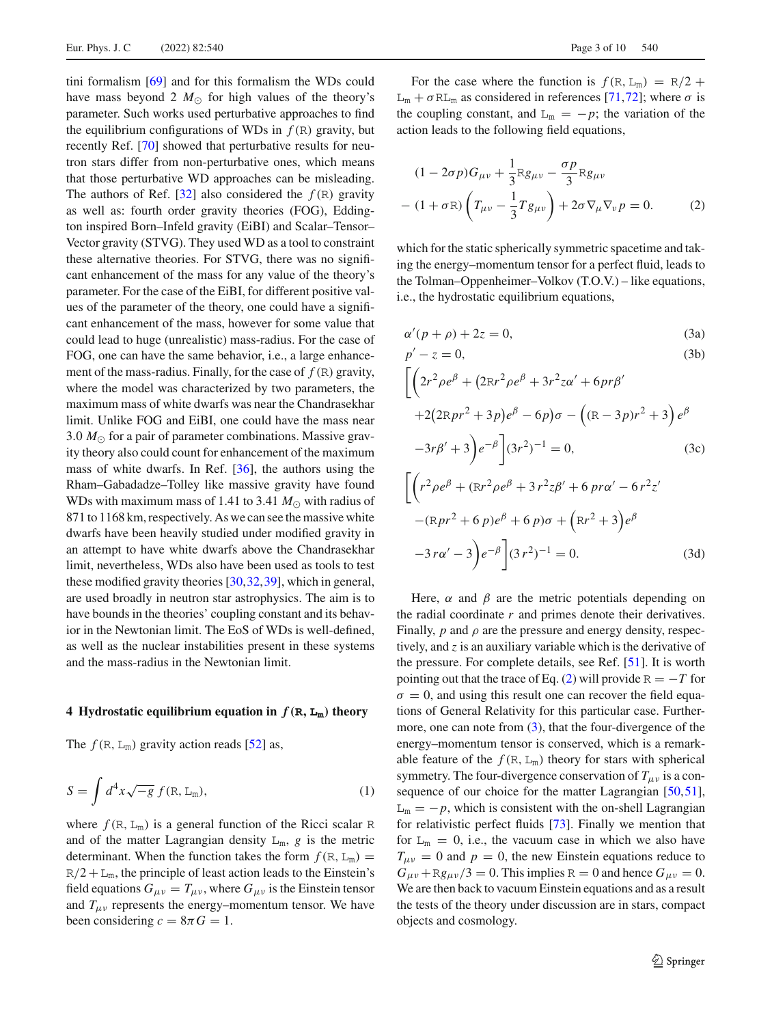tini formalism [\[69](#page-8-27)] and for this formalism the WDs could have mass beyond 2  $M_{\odot}$  for high values of the theory's parameter. Such works used perturbative approaches to find the equilibrium configurations of WDs in  $f(R)$  gravity, but recently Ref. [\[70](#page-8-28)] showed that perturbative results for neutron stars differ from non-perturbative ones, which means that those perturbative WD approaches can be misleading. The authors of Ref. [\[32](#page-8-29)] also considered the  $f(R)$  gravity as well as: fourth order gravity theories (FOG), Eddington inspired Born–Infeld gravity (EiBI) and Scalar–Tensor– Vector gravity (STVG). They used WD as a tool to constraint these alternative theories. For STVG, there was no significant enhancement of the mass for any value of the theory's parameter. For the case of the EiBI, for different positive values of the parameter of the theory, one could have a significant enhancement of the mass, however for some value that could lead to huge (unrealistic) mass-radius. For the case of FOG, one can have the same behavior, i.e., a large enhancement of the mass-radius. Finally, for the case of  $f(R)$  gravity, where the model was characterized by two parameters, the maximum mass of white dwarfs was near the Chandrasekhar limit. Unlike FOG and EiBI, one could have the mass near  $3.0 M_{\odot}$  for a pair of parameter combinations. Massive gravity theory also could count for enhancement of the maximum mass of white dwarfs. In Ref. [\[36\]](#page-8-30), the authors using the Rham–Gabadadze–Tolley like massive gravity have found WDs with maximum mass of 1.41 to 3.41  $M_{\odot}$  with radius of 871 to 1168 km, respectively. As we can see the massive white dwarfs have been heavily studied under modified gravity in an attempt to have white dwarfs above the Chandrasekhar limit, nevertheless, WDs also have been used as tools to test these modified gravity theories [\[30](#page-8-7),[32,](#page-8-29)[39\]](#page-8-31), which in general, are used broadly in neutron star astrophysics. The aim is to have bounds in the theories' coupling constant and its behavior in the Newtonian limit. The EoS of WDs is well-defined, as well as the nuclear instabilities present in these systems and the mass-radius in the Newtonian limit.

## <span id="page-2-0"></span>**4 Hydrostatic equilibrium equation in**  $f(\mathbf{R}, \mathbf{L_m})$  theory

The  $f(R, L_m)$  gravity action reads [\[52](#page-8-12)] as,

$$
S = \int d^4x \sqrt{-g} f(\mathbf{R}, \mathbf{L}_{\mathbf{m}}), \tag{1}
$$

where  $f(R, L_m)$  is a general function of the Ricci scalar R and of the matter Lagrangian density  $L_m$ , *g* is the metric determinant. When the function takes the form  $f(R, L_m)$  =  $R/2 + L_m$ , the principle of least action leads to the Einstein's field equations  $G_{\mu\nu} = T_{\mu\nu}$ , where  $G_{\mu\nu}$  is the Einstein tensor and  $T_{\mu\nu}$  represents the energy–momentum tensor. We have been considering  $c = 8\pi G = 1$ .

For the case where the function is  $f(R, L_m) = R/2 +$  $L_m + \sigma R L_m$  as considered in references [\[71,](#page-8-32)[72\]](#page-8-33); where  $\sigma$  is the coupling constant, and  $L_m = -p$ ; the variation of the action leads to the following field equations,

<span id="page-2-1"></span>
$$
(1 - 2\sigma p)G_{\mu\nu} + \frac{1}{3}Rg_{\mu\nu} - \frac{\sigma p}{3}Rg_{\mu\nu}
$$

$$
- (1 + \sigma R)\left(T_{\mu\nu} - \frac{1}{3}Tg_{\mu\nu}\right) + 2\sigma \nabla_{\mu}\nabla_{\nu}p = 0. \qquad (2)
$$

which for the static spherically symmetric spacetime and taking the energy–momentum tensor for a perfect fluid, leads to the Tolman–Oppenheimer–Volkov (T.O.V.) – like equations, i.e., the hydrostatic equilibrium equations,

<span id="page-2-2"></span>
$$
\alpha'(p+\rho) + 2z = 0,\t(3a)
$$

$$
p'-z=0,\t\t(3b)
$$

$$
\left[ \left( 2r^2 \rho e^{\beta} + (2Rr^2 \rho e^{\beta} + 3r^2 z \alpha' + 6pr\beta' + 2(2Rpr^2 + 3p)e^{\beta} - 6p\right) \sigma - \left( (R - 3p)r^2 + 3 \right) e^{\beta} - 3r\beta' + 3 \right) e^{-\beta} \right] (3r^2)^{-1} = 0,
$$
 (3c)

$$
\left[ \left( r^2 \rho e^{\beta} + (\mathbf{R}r^2 \rho e^{\beta} + 3 r^2 z \beta' + 6 \rho r \alpha' - 6 r^2 z' \right) \right. \\ \left. - (\mathbf{R}pr^2 + 6 \rho)e^{\beta} + 6 \rho \right) \sigma + (\mathbf{R}r^2 + 3) e^{\beta} \\ \left. - 3 r \alpha' - 3 \right) e^{-\beta} \left[ (3r^2)^{-1} = 0. \right] \tag{3d}
$$

Here,  $\alpha$  and  $\beta$  are the metric potentials depending on the radial coordinate *r* and primes denote their derivatives. Finally,  $p$  and  $\rho$  are the pressure and energy density, respectively, and *z* is an auxiliary variable which is the derivative of the pressure. For complete details, see Ref. [\[51](#page-8-11)]. It is worth pointing out that the trace of Eq. [\(2\)](#page-2-1) will provide  $R = -T$  for  $\sigma = 0$ , and using this result one can recover the field equations of General Relativity for this particular case. Further-more, one can note from [\(3\)](#page-2-2), that the four-divergence of the energy–momentum tensor is conserved, which is a remarkable feature of the  $f(R, L_m)$  theory for stars with spherical symmetry. The four-divergence conservation of  $T_{\mu\nu}$  is a con-sequence of our choice for the matter Lagrangian [\[50](#page-8-10)[,51](#page-8-11)],  $L_m = -p$ , which is consistent with the on-shell Lagrangian for relativistic perfect fluids [\[73\]](#page-8-34). Finally we mention that for  $L_m = 0$ , i.e., the vacuum case in which we also have  $T_{\mu\nu} = 0$  and  $p = 0$ , the new Einstein equations reduce to  $G_{\mu\nu}$  + Rg<sub>μv</sub> /3 = 0. This implies R = 0 and hence  $G_{\mu\nu}$  = 0. We are then back to vacuum Einstein equations and as a result the tests of the theory under discussion are in stars, compact objects and cosmology.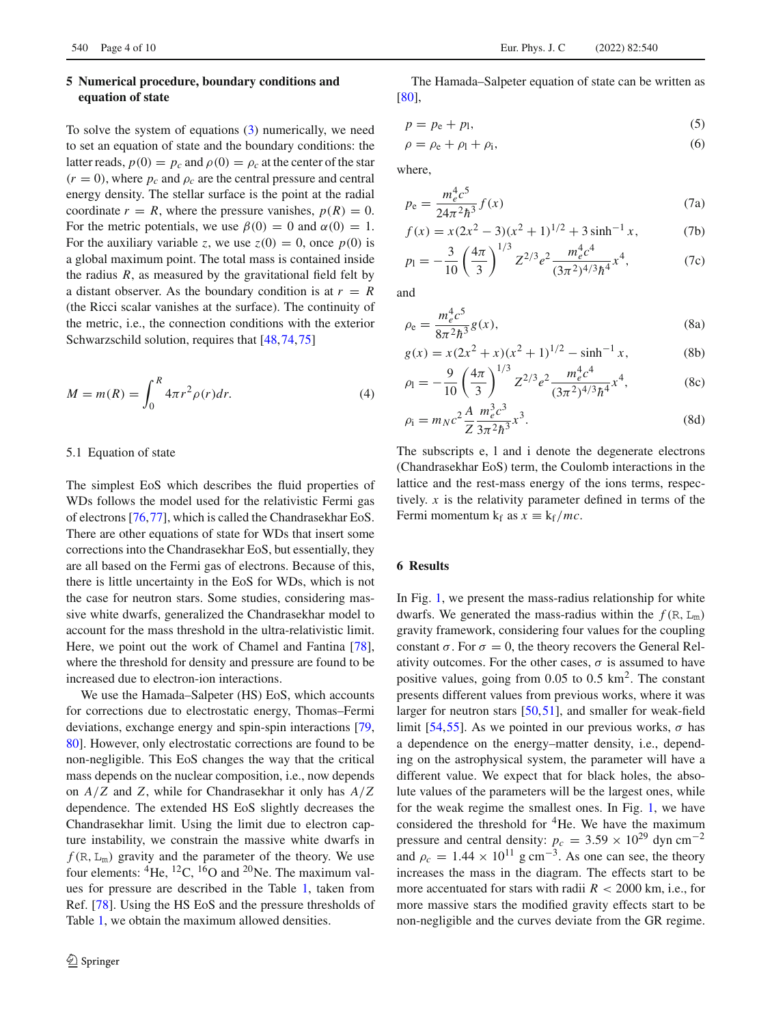# <span id="page-3-0"></span>**5 Numerical procedure, boundary conditions and equation of state**

To solve the system of equations [\(3\)](#page-2-2) numerically, we need to set an equation of state and the boundary conditions: the latter reads,  $p(0) = p_c$  and  $\rho(0) = \rho_c$  at the center of the star  $(r = 0)$ , where  $p_c$  and  $\rho_c$  are the central pressure and central energy density. The stellar surface is the point at the radial coordinate  $r = R$ , where the pressure vanishes,  $p(R) = 0$ . For the metric potentials, we use  $\beta(0) = 0$  and  $\alpha(0) = 1$ . For the auxiliary variable *z*, we use  $z(0) = 0$ , once  $p(0)$  is a global maximum point. The total mass is contained inside the radius  $R$ , as measured by the gravitational field felt by a distant observer. As the boundary condition is at  $r = R$ (the Ricci scalar vanishes at the surface). The continuity of the metric, i.e., the connection conditions with the exterior Schwarzschild solution, requires that [\[48](#page-8-8)[,74](#page-8-35)[,75](#page-8-36)]

$$
M = m(R) = \int_0^R 4\pi r^2 \rho(r) dr.
$$
 (4)

#### 5.1 Equation of state

The simplest EoS which describes the fluid properties of WDs follows the model used for the relativistic Fermi gas of electrons [\[76,](#page-8-37)[77\]](#page-8-38), which is called the Chandrasekhar EoS. There are other equations of state for WDs that insert some corrections into the Chandrasekhar EoS, but essentially, they are all based on the Fermi gas of electrons. Because of this, there is little uncertainty in the EoS for WDs, which is not the case for neutron stars. Some studies, considering massive white dwarfs, generalized the Chandrasekhar model to account for the mass threshold in the ultra-relativistic limit. Here, we point out the work of Chamel and Fantina [\[78](#page-8-39)], where the threshold for density and pressure are found to be increased due to electron-ion interactions.

We use the Hamada–Salpeter (HS) EoS, which accounts for corrections due to electrostatic energy, Thomas–Fermi deviations, exchange energy and spin-spin interactions [\[79,](#page-8-40) [80\]](#page-8-41). However, only electrostatic corrections are found to be non-negligible. This EoS changes the way that the critical mass depends on the nuclear composition, i.e., now depends on *A*/*Z* and *Z*, while for Chandrasekhar it only has *A*/*Z* dependence. The extended HS EoS slightly decreases the Chandrasekhar limit. Using the limit due to electron capture instability, we constrain the massive white dwarfs in  $f(R, L_m)$  gravity and the parameter of the theory. We use four elements:  ${}^{4}$ He,  ${}^{12}$ C,  ${}^{16}$ O and  ${}^{20}$ Ne. The maximum values for pressure are described in the Table [1,](#page-4-0) taken from Ref. [\[78\]](#page-8-39). Using the HS EoS and the pressure thresholds of Table [1,](#page-4-0) we obtain the maximum allowed densities.

The Hamada–Salpeter equation of state can be written as [\[80](#page-8-41)],

$$
p = p_e + p_l,\tag{5}
$$

$$
\rho = \rho_e + \rho_l + \rho_i,\tag{6}
$$

where,

$$
p_e = \frac{m_e^4 c^5}{24\pi^2 \hbar^3} f(x)
$$
 (7a)

$$
f(x) = x(2x^2 - 3)(x^2 + 1)^{1/2} + 3\sinh^{-1} x,
$$
 (7b)

$$
p_1 = -\frac{3}{10} \left(\frac{4\pi}{3}\right)^{1/3} Z^{2/3} e^2 \frac{m_e^4 c^4}{(3\pi^2)^{4/3} \hbar^4} x^4, \tag{7c}
$$

and

$$
\rho_{\rm e} = \frac{m_e^4 c^5}{8\pi^2 \hbar^3} g(x),\tag{8a}
$$

$$
g(x) = x(2x^2 + x)(x^2 + 1)^{1/2} - \sinh^{-1} x,
$$
 (8b)

$$
\rho_1 = -\frac{9}{10} \left(\frac{4\pi}{3}\right)^{1/3} Z^{2/3} e^2 \frac{m_e^4 c^4}{(3\pi^2)^{4/3} \hbar^4} x^4,\tag{8c}
$$

$$
\rho_{\rm i} = m_N c^2 \frac{A}{Z} \frac{m_e^3 c^3}{3\pi^2 \hbar^3} x^3.
$$
 (8d)

The subscripts e, l and i denote the degenerate electrons (Chandrasekhar EoS) term, the Coulomb interactions in the lattice and the rest-mass energy of the ions terms, respectively. *x* is the relativity parameter defined in terms of the Fermi momentum k<sub>f</sub> as  $x \equiv k_f/mc$ .

#### <span id="page-3-1"></span>**6 Results**

In Fig. [1,](#page-4-1) we present the mass-radius relationship for white dwarfs. We generated the mass-radius within the  $f(R, L_m)$ gravity framework, considering four values for the coupling constant  $\sigma$ . For  $\sigma = 0$ , the theory recovers the General Relativity outcomes. For the other cases,  $\sigma$  is assumed to have positive values, going from  $0.05$  to  $0.5$  km<sup>2</sup>. The constant presents different values from previous works, where it was larger for neutron stars [\[50](#page-8-10),[51\]](#page-8-11), and smaller for weak-field limit [\[54,](#page-8-14)[55\]](#page-8-42). As we pointed in our previous works,  $\sigma$  has a dependence on the energy–matter density, i.e., depending on the astrophysical system, the parameter will have a different value. We expect that for black holes, the absolute values of the parameters will be the largest ones, while for the weak regime the smallest ones. In Fig. [1,](#page-4-1) we have considered the threshold for 4He. We have the maximum pressure and central density:  $p_c = 3.59 \times 10^{29}$  dyn cm<sup>-2</sup> and  $\rho_c = 1.44 \times 10^{11}$  g cm<sup>-3</sup>. As one can see, the theory increases the mass in the diagram. The effects start to be more accentuated for stars with radii  $R < 2000$  km, i.e., for more massive stars the modified gravity effects start to be non-negligible and the curves deviate from the GR regime.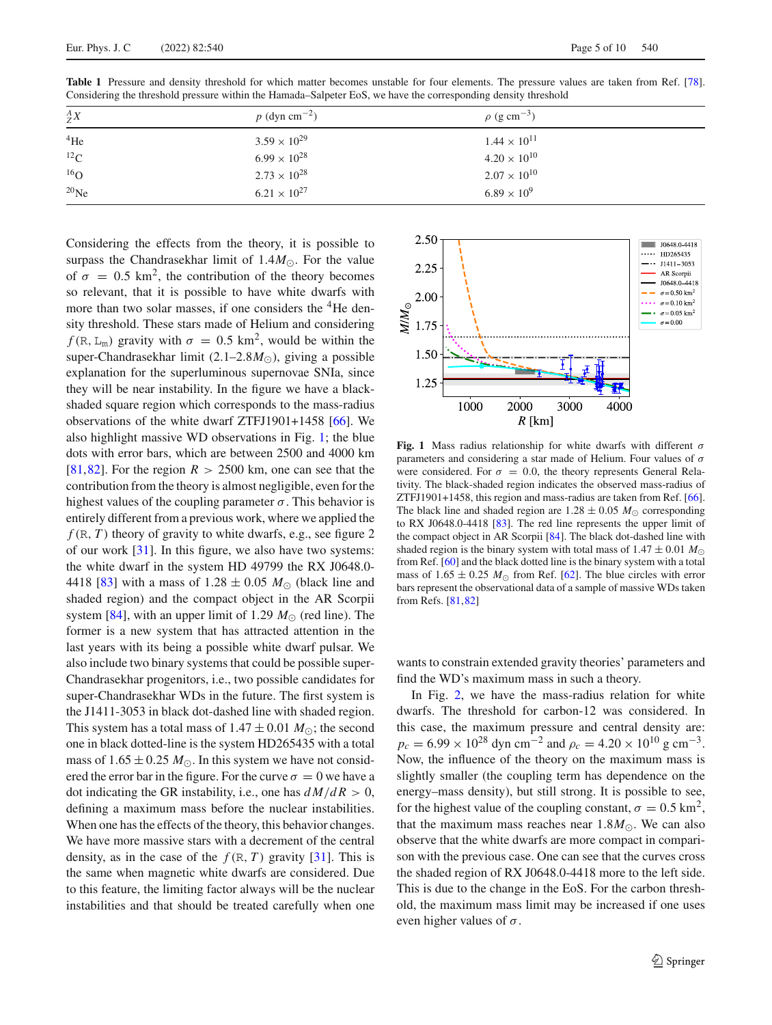| $\frac{A}{Z}X$  | $p$ (dyn cm <sup>-2</sup> ) | $\rho$ (g cm <sup>-3</sup> ) |
|-----------------|-----------------------------|------------------------------|
| $4$ He          | $3.59 \times 10^{29}$       | $1.44 \times 10^{11}$        |
| $^{12}$ C       | $6.99 \times 10^{28}$       | $4.20 \times 10^{10}$        |
| 16 <sub>O</sub> | $2.73 \times 10^{28}$       | $2.07 \times 10^{10}$        |
| $20$ Ne         | $6.21 \times 10^{27}$       | $6.89 \times 10^{9}$         |

<span id="page-4-0"></span>**Table 1** Pressure and density threshold for which matter becomes unstable for four elements. The pressure values are taken from Ref. [\[78](#page-8-39)]. Considering the threshold pressure within the Hamada–Salpeter EoS, we have the corresponding density threshold

Considering the effects from the theory, it is possible to surpass the Chandrasekhar limit of  $1.4M_{\odot}$ . For the value of  $\sigma = 0.5$  km<sup>2</sup>, the contribution of the theory becomes so relevant, that it is possible to have white dwarfs with more than two solar masses, if one considers the  ${}^{4}$ He density threshold. These stars made of Helium and considering *f* (R, L<sub>m</sub>) gravity with  $\sigma = 0.5$  km<sup>2</sup>, would be within the super-Chandrasekhar limit (2.1–2.8*M*<sub>O</sub>), giving a possible explanation for the superluminous supernovae SNIa, since they will be near instability. In the figure we have a blackshaded square region which corresponds to the mass-radius observations of the white dwarf ZTFJ1901+1458 [\[66](#page-8-24)]. We also highlight massive WD observations in Fig. [1;](#page-4-1) the blue dots with error bars, which are between 2500 and 4000 km [\[81](#page-9-0),[82\]](#page-9-1). For the region  $R > 2500$  km, one can see that the contribution from the theory is almost negligible, even for the highest values of the coupling parameter  $\sigma$ . This behavior is entirely different from a previous work, where we applied the  $f(R, T)$  theory of gravity to white dwarfs, e.g., see figure 2 of our work [\[31](#page-8-43)]. In this figure, we also have two systems: the white dwarf in the system HD 49799 the RX J0648.0- 4418 [\[83\]](#page-9-2) with a mass of  $1.28 \pm 0.05$  *M*<sub> $\odot$ </sub> (black line and shaded region) and the compact object in the AR Scorpii system [\[84\]](#page-9-3), with an upper limit of 1.29  $M_{\odot}$  (red line). The former is a new system that has attracted attention in the last years with its being a possible white dwarf pulsar. We also include two binary systems that could be possible super-Chandrasekhar progenitors, i.e., two possible candidates for super-Chandrasekhar WDs in the future. The first system is the J1411-3053 in black dot-dashed line with shaded region. This system has a total mass of  $1.47 \pm 0.01 M_{\odot}$ ; the second one in black dotted-line is the system HD265435 with a total mass of  $1.65 \pm 0.25$   $M_{\odot}$ . In this system we have not considered the error bar in the figure. For the curve  $\sigma = 0$  we have a dot indicating the GR instability, i.e., one has  $dM/dR > 0$ , defining a maximum mass before the nuclear instabilities. When one has the effects of the theory, this behavior changes. We have more massive stars with a decrement of the central density, as in the case of the  $f(R, T)$  gravity [\[31](#page-8-43)]. This is the same when magnetic white dwarfs are considered. Due to this feature, the limiting factor always will be the nuclear instabilities and that should be treated carefully when one



<span id="page-4-1"></span>**Fig. 1** Mass radius relationship for white dwarfs with different σ parameters and considering a star made of Helium. Four values of  $\sigma$ were considered. For  $\sigma = 0.0$ , the theory represents General Relativity. The black-shaded region indicates the observed mass-radius of ZTFJ1901+1458, this region and mass-radius are taken from Ref. [\[66](#page-8-24)]. The black line and shaded region are  $1.28 \pm 0.05$  *M*<sub> $\odot$ </sub> corresponding to RX J0648.0-4418 [\[83](#page-9-2)]. The red line represents the upper limit of the compact object in AR Scorpii [\[84](#page-9-3)]. The black dot-dashed line with shaded region is the binary system with total mass of  $1.47 \pm 0.01 M_{\odot}$ from Ref. [\[60\]](#page-8-18) and the black dotted line is the binary system with a total mass of  $1.65 \pm 0.25$   $M_{\odot}$  from Ref. [\[62\]](#page-8-20). The blue circles with error bars represent the observational data of a sample of massive WDs taken from Refs. [\[81,](#page-9-0)[82](#page-9-1)]

wants to constrain extended gravity theories' parameters and find the WD's maximum mass in such a theory.

In Fig. [2,](#page-5-1) we have the mass-radius relation for white dwarfs. The threshold for carbon-12 was considered. In this case, the maximum pressure and central density are:  $p_c = 6.99 \times 10^{28}$  dyn cm<sup>-2</sup> and  $\rho_c = 4.20 \times 10^{10}$  g cm<sup>-3</sup>. Now, the influence of the theory on the maximum mass is slightly smaller (the coupling term has dependence on the energy–mass density), but still strong. It is possible to see, for the highest value of the coupling constant,  $\sigma = 0.5 \text{ km}^2$ , that the maximum mass reaches near  $1.8M_{\odot}$ . We can also observe that the white dwarfs are more compact in comparison with the previous case. One can see that the curves cross the shaded region of RX J0648.0-4418 more to the left side. This is due to the change in the EoS. For the carbon threshold, the maximum mass limit may be increased if one uses even higher values of  $\sigma$ .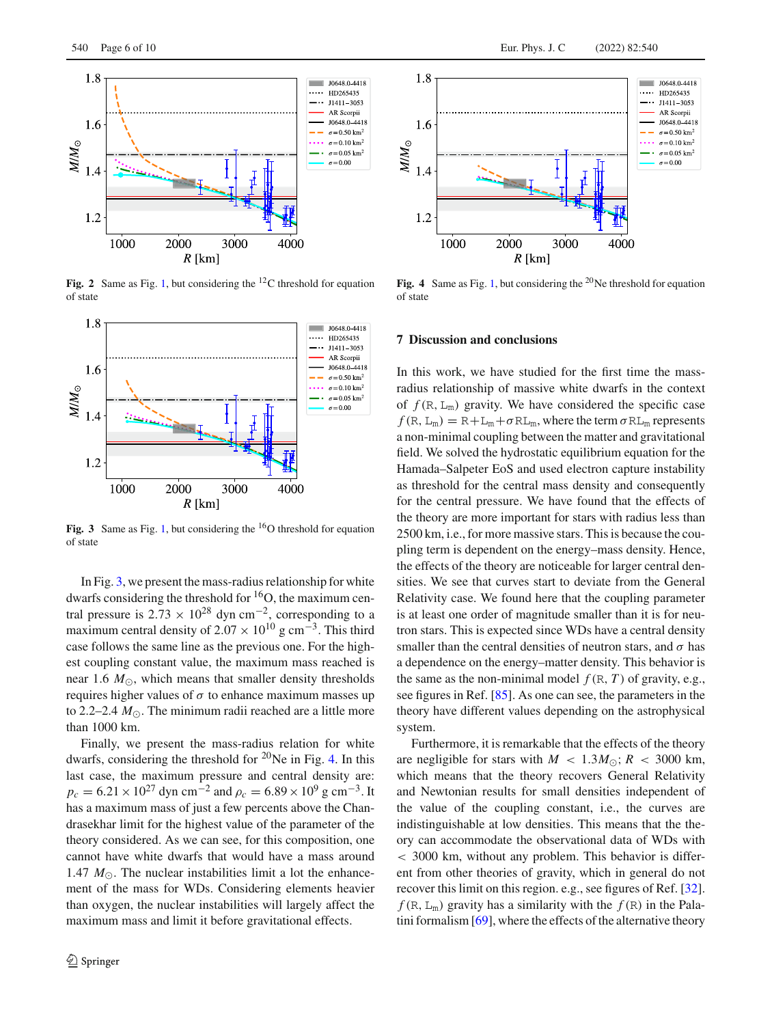

<span id="page-5-1"></span>Fig. 2 Same as Fig. [1,](#page-4-1) but considering the <sup>12</sup>C threshold for equation of state



<span id="page-5-2"></span>Fig. 3 Same as Fig. [1,](#page-4-1) but considering the <sup>16</sup>O threshold for equation of state

In Fig. [3,](#page-5-2) we present the mass-radius relationship for white dwarfs considering the threshold for <sup>16</sup>O, the maximum central pressure is  $2.73 \times 10^{28}$  dyn cm<sup>-2</sup>, corresponding to a maximum central density of 2.07  $\times$  10<sup>10</sup> g cm<sup>-3</sup>. This third case follows the same line as the previous one. For the highest coupling constant value, the maximum mass reached is near 1.6  $M_{\odot}$ , which means that smaller density thresholds requires higher values of  $σ$  to enhance maximum masses up to 2.2–2.4  $M_{\odot}$ . The minimum radii reached are a little more than 1000 km.

Finally, we present the mass-radius relation for white dwarfs, considering the threshold for 20Ne in Fig. [4.](#page-5-3) In this last case, the maximum pressure and central density are:  $p_c = 6.21 \times 10^{27}$  dyn cm<sup>-2</sup> and  $\rho_c = 6.89 \times 10^9$  g cm<sup>-3</sup>. It has a maximum mass of just a few percents above the Chandrasekhar limit for the highest value of the parameter of the theory considered. As we can see, for this composition, one cannot have white dwarfs that would have a mass around 1.47  $M_{\odot}$ . The nuclear instabilities limit a lot the enhancement of the mass for WDs. Considering elements heavier than oxygen, the nuclear instabilities will largely affect the maximum mass and limit it before gravitational effects.



<span id="page-5-3"></span>Fig. 4 Same as Fig. [1,](#page-4-1) but considering the <sup>20</sup>Ne threshold for equation of state

# <span id="page-5-0"></span>**7 Discussion and conclusions**

In this work, we have studied for the first time the massradius relationship of massive white dwarfs in the context of  $f(R, L_m)$  gravity. We have considered the specific case  $f(R, L_m) = R + L_m + \sigma R L_m$ , where the term  $\sigma R L_m$  represents a non-minimal coupling between the matter and gravitational field. We solved the hydrostatic equilibrium equation for the Hamada–Salpeter EoS and used electron capture instability as threshold for the central mass density and consequently for the central pressure. We have found that the effects of the theory are more important for stars with radius less than 2500 km, i.e., for more massive stars. This is because the coupling term is dependent on the energy–mass density. Hence, the effects of the theory are noticeable for larger central densities. We see that curves start to deviate from the General Relativity case. We found here that the coupling parameter is at least one order of magnitude smaller than it is for neutron stars. This is expected since WDs have a central density smaller than the central densities of neutron stars, and  $\sigma$  has a dependence on the energy–matter density. This behavior is the same as the non-minimal model  $f(R, T)$  of gravity, e.g., see figures in Ref. [\[85\]](#page-9-4). As one can see, the parameters in the theory have different values depending on the astrophysical system.

Furthermore, it is remarkable that the effects of the theory are negligible for stars with  $M < 1.3 M_{\odot}$ ;  $R < 3000$  km, which means that the theory recovers General Relativity and Newtonian results for small densities independent of the value of the coupling constant, i.e., the curves are indistinguishable at low densities. This means that the theory can accommodate the observational data of WDs with < 3000 km, without any problem. This behavior is different from other theories of gravity, which in general do not recover this limit on this region. e.g., see figures of Ref. [\[32](#page-8-29)].  $f(R, L_m)$  gravity has a similarity with the  $f(R)$  in the Palatini formalism [\[69\]](#page-8-27), where the effects of the alternative theory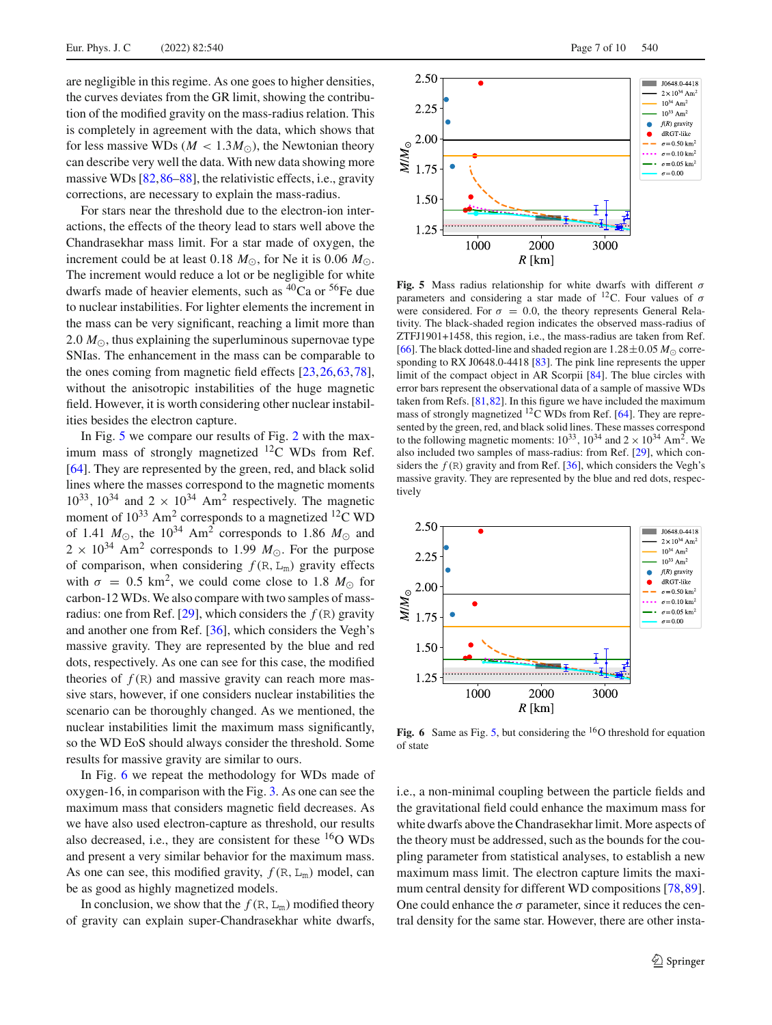are negligible in this regime. As one goes to higher densities, the curves deviates from the GR limit, showing the contribution of the modified gravity on the mass-radius relation. This is completely in agreement with the data, which shows that for less massive WDs ( $M < 1.3 M_{\odot}$ ), the Newtonian theory can describe very well the data. With new data showing more massive WDs [\[82](#page-9-1),[86](#page-9-5)[–88](#page-9-6)], the relativistic effects, i.e., gravity corrections, are necessary to explain the mass-radius.

For stars near the threshold due to the electron-ion interactions, the effects of the theory lead to stars well above the Chandrasekhar mass limit. For a star made of oxygen, the increment could be at least  $0.18 M_{\odot}$ , for Ne it is  $0.06 M_{\odot}$ . The increment would reduce a lot or be negligible for white dwarfs made of heavier elements, such as  ${}^{40}Ca$  or  ${}^{56}Fe$  due to nuclear instabilities. For lighter elements the increment in the mass can be very significant, reaching a limit more than 2.0  $M_{\odot}$ , thus explaining the superluminous supernovae type SNIas. The enhancement in the mass can be comparable to the ones coming from magnetic field effects [\[23,](#page-7-12)[26](#page-7-5)[,63](#page-8-21)[,78](#page-8-39)], without the anisotropic instabilities of the huge magnetic field. However, it is worth considering other nuclear instabilities besides the electron capture.

In Fig. [5](#page-6-0) we compare our results of Fig. [2](#page-5-1) with the maximum mass of strongly magnetized  $^{12}$ C WDs from Ref. [\[64](#page-8-22)]. They are represented by the green, red, and black solid lines where the masses correspond to the magnetic moments  $10^{33}$ ,  $10^{34}$  and  $2 \times 10^{34}$  Am<sup>2</sup> respectively. The magnetic moment of  $10^{33}$  Am<sup>2</sup> corresponds to a magnetized <sup>12</sup>C WD of 1.41  $M_{\odot}$ , the 10<sup>34</sup> Am<sup>2</sup> corresponds to 1.86  $M_{\odot}$  and  $2 \times 10^{34}$  Am<sup>2</sup> corresponds to 1.99  $M_{\odot}$ . For the purpose of comparison, when considering  $f(R, L_m)$  gravity effects with  $\sigma = 0.5 \text{ km}^2$ , we could come close to 1.8  $M_{\odot}$  for carbon-12 WDs. We also compare with two samples of mass-radius: one from Ref. [\[29](#page-8-0)], which considers the  $f(R)$  gravity and another one from Ref. [\[36\]](#page-8-30), which considers the Vegh's massive gravity. They are represented by the blue and red dots, respectively. As one can see for this case, the modified theories of  $f(R)$  and massive gravity can reach more massive stars, however, if one considers nuclear instabilities the scenario can be thoroughly changed. As we mentioned, the nuclear instabilities limit the maximum mass significantly, so the WD EoS should always consider the threshold. Some results for massive gravity are similar to ours.

In Fig. [6](#page-6-1) we repeat the methodology for WDs made of oxygen-16, in comparison with the Fig. [3.](#page-5-2) As one can see the maximum mass that considers magnetic field decreases. As we have also used electron-capture as threshold, our results also decreased, i.e., they are consistent for these  ${}^{16}O$  WDs and present a very similar behavior for the maximum mass. As one can see, this modified gravity,  $f(R, L_m)$  model, can be as good as highly magnetized models.

In conclusion, we show that the  $f(R, L_m)$  modified theory of gravity can explain super-Chandrasekhar white dwarfs,



<span id="page-6-0"></span>**Fig. 5** Mass radius relationship for white dwarfs with different  $\sigma$ parameters and considering a star made of  $^{12}$ C. Four values of  $\sigma$ were considered. For  $\sigma = 0.0$ , the theory represents General Relativity. The black-shaded region indicates the observed mass-radius of ZTFJ1901+1458, this region, i.e., the mass-radius are taken from Ref. [\[66](#page-8-24)]. The black dotted-line and shaded region are  $1.28 \pm 0.05$  *M*<sub> $\odot$ </sub> corresponding to RX J0648.0-4418 [\[83\]](#page-9-2). The pink line represents the upper limit of the compact object in AR Scorpii [\[84\]](#page-9-3). The blue circles with error bars represent the observational data of a sample of massive WDs taken from Refs. [\[81](#page-9-0)[,82](#page-9-1)]. In this figure we have included the maximum mass of strongly magnetized 12C WDs from Ref. [\[64](#page-8-22)]. They are represented by the green, red, and black solid lines. These masses correspond to the following magnetic moments:  $10^{33}$ ,  $10^{34}$  and  $2 \times 10^{34}$  Am<sup>2</sup>. We also included two samples of mass-radius: from Ref. [\[29](#page-8-0)], which considers the  $f(R)$  gravity and from Ref. [\[36\]](#page-8-30), which considers the Vegh's massive gravity. They are represented by the blue and red dots, respectively



<span id="page-6-1"></span>**Fig. 6** Same as Fig. [5,](#page-6-0) but considering the <sup>16</sup>O threshold for equation of state

i.e., a non-minimal coupling between the particle fields and the gravitational field could enhance the maximum mass for white dwarfs above the Chandrasekhar limit. More aspects of the theory must be addressed, such as the bounds for the coupling parameter from statistical analyses, to establish a new maximum mass limit. The electron capture limits the maxi-mum central density for different WD compositions [\[78](#page-8-39)[,89](#page-9-7)]. One could enhance the  $\sigma$  parameter, since it reduces the central density for the same star. However, there are other insta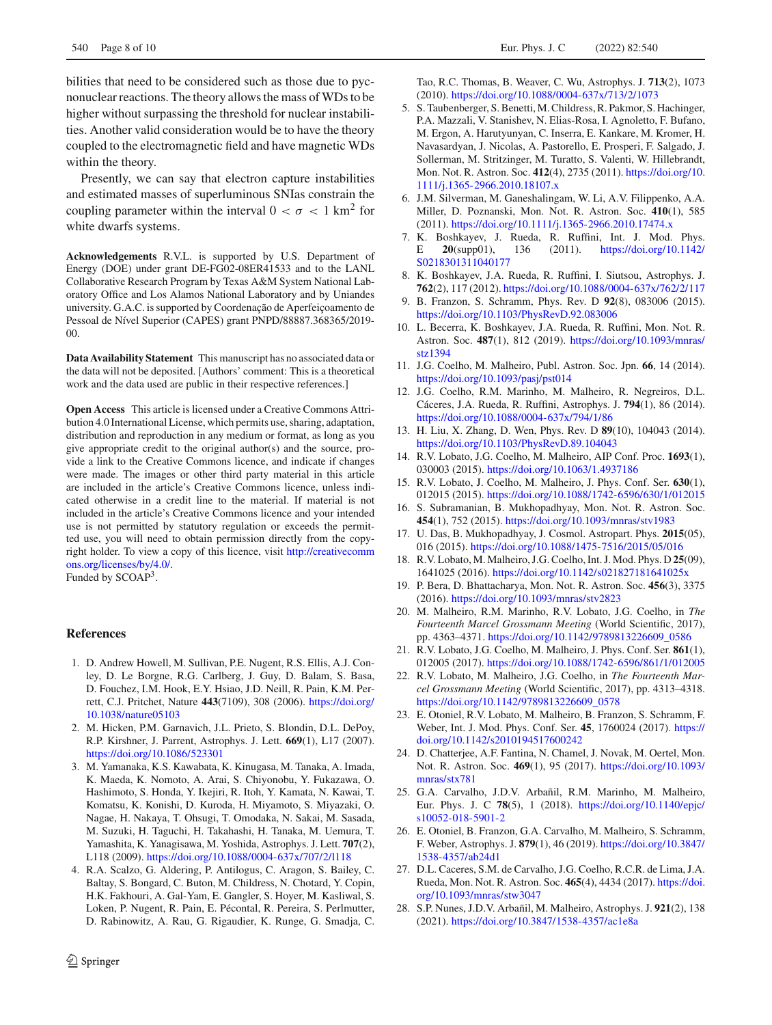bilities that need to be considered such as those due to pycnonuclear reactions. The theory allows the mass of WDs to be higher without surpassing the threshold for nuclear instabilities. Another valid consideration would be to have the theory coupled to the electromagnetic field and have magnetic WDs within the theory.

Presently, we can say that electron capture instabilities and estimated masses of superluminous SNIas constrain the coupling parameter within the interval  $0 < \sigma < 1$  km<sup>2</sup> for white dwarfs systems.

**Acknowledgements** R.V.L. is supported by U.S. Department of Energy (DOE) under grant DE-FG02-08ER41533 and to the LANL Collaborative Research Program by Texas A&M System National Laboratory Office and Los Alamos National Laboratory and by Uniandes university. G.A.C. is supported by Coordenação de Aperfeiçoamento de Pessoal de Nível Superior (CAPES) grant PNPD/88887.368365/2019- 00.

**Data Availability Statement** This manuscript has no associated data or the data will not be deposited. [Authors' comment: This is a theoretical work and the data used are public in their respective references.]

**Open Access** This article is licensed under a Creative Commons Attribution 4.0 International License, which permits use, sharing, adaptation, distribution and reproduction in any medium or format, as long as you give appropriate credit to the original author(s) and the source, provide a link to the Creative Commons licence, and indicate if changes were made. The images or other third party material in this article are included in the article's Creative Commons licence, unless indicated otherwise in a credit line to the material. If material is not included in the article's Creative Commons licence and your intended use is not permitted by statutory regulation or exceeds the permitted use, you will need to obtain permission directly from the copyright holder. To view a copy of this licence, visit [http://creativecomm](http://creativecommons.org/licenses/by/4.0/) [ons.org/licenses/by/4.0/.](http://creativecommons.org/licenses/by/4.0/) Funded by SCOAP3.

#### **References**

- <span id="page-7-0"></span>1. D. Andrew Howell, M. Sullivan, P.E. Nugent, R.S. Ellis, A.J. Conley, D. Le Borgne, R.G. Carlberg, J. Guy, D. Balam, S. Basa, D. Fouchez, I.M. Hook, E.Y. Hsiao, J.D. Neill, R. Pain, K.M. Perrett, C.J. Pritchet, Nature **443**(7109), 308 (2006). [https://doi.org/](https://doi.org/10.1038/nature05103) [10.1038/nature05103](https://doi.org/10.1038/nature05103)
- 2. M. Hicken, P.M. Garnavich, J.L. Prieto, S. Blondin, D.L. DePoy, R.P. Kirshner, J. Parrent, Astrophys. J. Lett. **669**(1), L17 (2007). <https://doi.org/10.1086/523301>
- 3. M. Yamanaka, K.S. Kawabata, K. Kinugasa, M. Tanaka, A. Imada, K. Maeda, K. Nomoto, A. Arai, S. Chiyonobu, Y. Fukazawa, O. Hashimoto, S. Honda, Y. Ikejiri, R. Itoh, Y. Kamata, N. Kawai, T. Komatsu, K. Konishi, D. Kuroda, H. Miyamoto, S. Miyazaki, O. Nagae, H. Nakaya, T. Ohsugi, T. Omodaka, N. Sakai, M. Sasada, M. Suzuki, H. Taguchi, H. Takahashi, H. Tanaka, M. Uemura, T. Yamashita, K. Yanagisawa, M. Yoshida, Astrophys. J. Lett. **707**(2), L118 (2009). <https://doi.org/10.1088/0004-637x/707/2/l118>
- <span id="page-7-8"></span>4. R.A. Scalzo, G. Aldering, P. Antilogus, C. Aragon, S. Bailey, C. Baltay, S. Bongard, C. Buton, M. Childress, N. Chotard, Y. Copin, H.K. Fakhouri, A. Gal-Yam, E. Gangler, S. Hoyer, M. Kasliwal, S. Loken, P. Nugent, R. Pain, E. Pécontal, R. Pereira, S. Perlmutter, D. Rabinowitz, A. Rau, G. Rigaudier, K. Runge, G. Smadja, C.

Tao, R.C. Thomas, B. Weaver, C. Wu, Astrophys. J. **713**(2), 1073 (2010). <https://doi.org/10.1088/0004-637x/713/2/1073>

- <span id="page-7-9"></span>5. S. Taubenberger, S. Benetti, M. Childress, R. Pakmor, S. Hachinger, P.A. Mazzali, V. Stanishev, N. Elias-Rosa, I. Agnoletto, F. Bufano, M. Ergon, A. Harutyunyan, C. Inserra, E. Kankare, M. Kromer, H. Navasardyan, J. Nicolas, A. Pastorello, E. Prosperi, F. Salgado, J. Sollerman, M. Stritzinger, M. Turatto, S. Valenti, W. Hillebrandt, Mon. Not. R. Astron. Soc. **412**(4), 2735 (2011). [https://doi.org/10.](https://doi.org/10.1111/j.1365-2966.2010.18107.x) [1111/j.1365-2966.2010.18107.x](https://doi.org/10.1111/j.1365-2966.2010.18107.x)
- <span id="page-7-1"></span>6. J.M. Silverman, M. Ganeshalingam, W. Li, A.V. Filippenko, A.A. Miller, D. Poznanski, Mon. Not. R. Astron. Soc. **410**(1), 585 (2011). <https://doi.org/10.1111/j.1365-2966.2010.17474.x>
- <span id="page-7-2"></span>7. K. Boshkayev, J. Rueda, R. Ruffini, Int. J. Mod. Phys. E **20**(supp01), 136 (2011). [https://doi.org/10.1142/](https://doi.org/10.1142/S0218301311040177) [S0218301311040177](https://doi.org/10.1142/S0218301311040177)
- 8. K. Boshkayev, J.A. Rueda, R. Ruffini, I. Siutsou, Astrophys. J. **762**(2), 117 (2012). <https://doi.org/10.1088/0004-637x/762/2/117>
- 9. B. Franzon, S. Schramm, Phys. Rev. D **92**(8), 083006 (2015). <https://doi.org/10.1103/PhysRevD.92.083006>
- <span id="page-7-3"></span>10. L. Becerra, K. Boshkayev, J.A. Rueda, R. Ruffini, Mon. Not. R. Astron. Soc. **487**(1), 812 (2019). [https://doi.org/10.1093/mnras/](https://doi.org/10.1093/mnras/stz1394) [stz1394](https://doi.org/10.1093/mnras/stz1394)
- <span id="page-7-4"></span>11. J.G. Coelho, M. Malheiro, Publ. Astron. Soc. Jpn. **66**, 14 (2014). <https://doi.org/10.1093/pasj/pst014>
- <span id="page-7-10"></span>12. J.G. Coelho, R.M. Marinho, M. Malheiro, R. Negreiros, D.L. Cáceres, J.A. Rueda, R. Ruffini, Astrophys. J. **794**(1), 86 (2014). <https://doi.org/10.1088/0004-637x/794/1/86>
- 13. H. Liu, X. Zhang, D. Wen, Phys. Rev. D **89**(10), 104043 (2014). <https://doi.org/10.1103/PhysRevD.89.104043>
- 14. R.V. Lobato, J.G. Coelho, M. Malheiro, AIP Conf. Proc. **1693**(1), 030003 (2015). <https://doi.org/10.1063/1.4937186>
- 15. R.V. Lobato, J. Coelho, M. Malheiro, J. Phys. Conf. Ser. **630**(1), 012015 (2015). <https://doi.org/10.1088/1742-6596/630/1/012015>
- <span id="page-7-11"></span>16. S. Subramanian, B. Mukhopadhyay, Mon. Not. R. Astron. Soc. **454**(1), 752 (2015). <https://doi.org/10.1093/mnras/stv1983>
- 17. U. Das, B. Mukhopadhyay, J. Cosmol. Astropart. Phys. **2015**(05), 016 (2015). <https://doi.org/10.1088/1475-7516/2015/05/016>
- 18. R.V. Lobato, M. Malheiro, J.G. Coelho, Int. J. Mod. Phys. D **25**(09), 1641025 (2016). <https://doi.org/10.1142/s021827181641025x>
- 19. P. Bera, D. Bhattacharya, Mon. Not. R. Astron. Soc. **456**(3), 3375 (2016). <https://doi.org/10.1093/mnras/stv2823>
- 20. M. Malheiro, R.M. Marinho, R.V. Lobato, J.G. Coelho, in *The Fourteenth Marcel Grossmann Meeting* (World Scientific, 2017), pp. 4363–4371. [https://doi.org/10.1142/9789813226609\\_0586](https://doi.org/10.1142/9789813226609_0586)
- 21. R.V. Lobato, J.G. Coelho, M. Malheiro, J. Phys. Conf. Ser. **861**(1), 012005 (2017). <https://doi.org/10.1088/1742-6596/861/1/012005>
- 22. R.V. Lobato, M. Malheiro, J.G. Coelho, in *The Fourteenth Marcel Grossmann Meeting* (World Scientific, 2017), pp. 4313–4318. [https://doi.org/10.1142/9789813226609\\_0578](https://doi.org/10.1142/9789813226609_0578)
- <span id="page-7-12"></span>23. E. Otoniel, R.V. Lobato, M. Malheiro, B. Franzon, S. Schramm, F. Weber, Int. J. Mod. Phys. Conf. Ser. **45**, 1760024 (2017). [https://](https://doi.org/10.1142/s2010194517600242) [doi.org/10.1142/s2010194517600242](https://doi.org/10.1142/s2010194517600242)
- 24. D. Chatterjee, A.F. Fantina, N. Chamel, J. Novak, M. Oertel, Mon. Not. R. Astron. Soc. **469**(1), 95 (2017). [https://doi.org/10.1093/](https://doi.org/10.1093/mnras/stx781) [mnras/stx781](https://doi.org/10.1093/mnras/stx781)
- 25. G.A. Carvalho, J.D.V. Arbañil, R.M. Marinho, M. Malheiro, Eur. Phys. J. C **78**(5), 1 (2018). [https://doi.org/10.1140/epjc/](https://doi.org/10.1140/epjc/s10052-018-5901-2) [s10052-018-5901-2](https://doi.org/10.1140/epjc/s10052-018-5901-2)
- <span id="page-7-5"></span>26. E. Otoniel, B. Franzon, G.A. Carvalho, M. Malheiro, S. Schramm, F. Weber, Astrophys. J. **879**(1), 46 (2019). [https://doi.org/10.3847/](https://doi.org/10.3847/1538-4357/ab24d1) [1538-4357/ab24d1](https://doi.org/10.3847/1538-4357/ab24d1)
- <span id="page-7-6"></span>27. D.L. Caceres, S.M. de Carvalho, J.G. Coelho, R.C.R. de Lima, J.A. Rueda, Mon. Not. R. Astron. Soc. **465**(4), 4434 (2017). [https://doi.](https://doi.org/10.1093/mnras/stw3047) [org/10.1093/mnras/stw3047](https://doi.org/10.1093/mnras/stw3047)
- <span id="page-7-7"></span>28. S.P. Nunes, J.D.V. Arbañil, M. Malheiro, Astrophys. J. **921**(2), 138 (2021). <https://doi.org/10.3847/1538-4357/ac1e8a>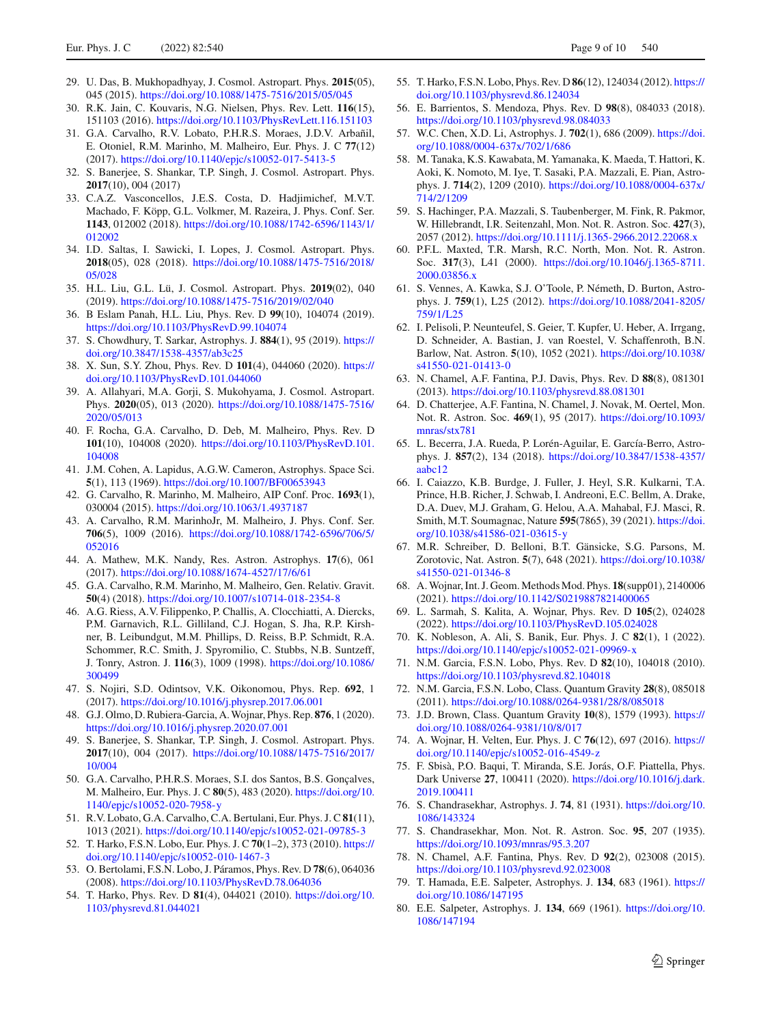- <span id="page-8-0"></span>29. U. Das, B. Mukhopadhyay, J. Cosmol. Astropart. Phys. **2015**(05), 045 (2015). <https://doi.org/10.1088/1475-7516/2015/05/045>
- <span id="page-8-7"></span>30. R.K. Jain, C. Kouvaris, N.G. Nielsen, Phys. Rev. Lett. **116**(15), 151103 (2016). <https://doi.org/10.1103/PhysRevLett.116.151103>
- <span id="page-8-43"></span>31. G.A. Carvalho, R.V. Lobato, P.H.R.S. Moraes, J.D.V. Arbañil, E. Otoniel, R.M. Marinho, M. Malheiro, Eur. Phys. J. C **77**(12) (2017). <https://doi.org/10.1140/epjc/s10052-017-5413-5>
- <span id="page-8-29"></span>32. S. Banerjee, S. Shankar, T.P. Singh, J. Cosmol. Astropart. Phys. **2017**(10), 004 (2017)
- 33. C.A.Z. Vasconcellos, J.E.S. Costa, D. Hadjimichef, M.V.T. Machado, F. Köpp, G.L. Volkmer, M. Razeira, J. Phys. Conf. Ser. **1143**, 012002 (2018). [https://doi.org/10.1088/1742-6596/1143/1/](https://doi.org/10.1088/1742-6596/1143/1/012002) [012002](https://doi.org/10.1088/1742-6596/1143/1/012002)
- 34. I.D. Saltas, I. Sawicki, I. Lopes, J. Cosmol. Astropart. Phys. **2018**(05), 028 (2018). [https://doi.org/10.1088/1475-7516/2018/](https://doi.org/10.1088/1475-7516/2018/05/028) [05/028](https://doi.org/10.1088/1475-7516/2018/05/028)
- 35. H.L. Liu, G.L. Lü, J. Cosmol. Astropart. Phys. **2019**(02), 040 (2019). <https://doi.org/10.1088/1475-7516/2019/02/040>
- <span id="page-8-30"></span>36. B Eslam Panah, H.L. Liu, Phys. Rev. D **99**(10), 104074 (2019). <https://doi.org/10.1103/PhysRevD.99.104074>
- 37. S. Chowdhury, T. Sarkar, Astrophys. J. **884**(1), 95 (2019). [https://](https://doi.org/10.3847/1538-4357/ab3c25) [doi.org/10.3847/1538-4357/ab3c25](https://doi.org/10.3847/1538-4357/ab3c25)
- 38. X. Sun, S.Y. Zhou, Phys. Rev. D **101**(4), 044060 (2020). [https://](https://doi.org/10.1103/PhysRevD.101.044060) [doi.org/10.1103/PhysRevD.101.044060](https://doi.org/10.1103/PhysRevD.101.044060)
- <span id="page-8-31"></span>39. A. Allahyari, M.A. Gorji, S. Mukohyama, J. Cosmol. Astropart. Phys. **2020**(05), 013 (2020). [https://doi.org/10.1088/1475-7516/](https://doi.org/10.1088/1475-7516/2020/05/013) [2020/05/013](https://doi.org/10.1088/1475-7516/2020/05/013)
- <span id="page-8-1"></span>40. F. Rocha, G.A. Carvalho, D. Deb, M. Malheiro, Phys. Rev. D **101**(10), 104008 (2020). [https://doi.org/10.1103/PhysRevD.101.](https://doi.org/10.1103/PhysRevD.101.104008) [104008](https://doi.org/10.1103/PhysRevD.101.104008)
- <span id="page-8-2"></span>41. J.M. Cohen, A. Lapidus, A.G.W. Cameron, Astrophys. Space Sci. **5**(1), 113 (1969). <https://doi.org/10.1007/BF00653943>
- <span id="page-8-4"></span>42. G. Carvalho, R. Marinho, M. Malheiro, AIP Conf. Proc. **1693**(1), 030004 (2015). <https://doi.org/10.1063/1.4937187>
- 43. A. Carvalho, R.M. MarinhoJr, M. Malheiro, J. Phys. Conf. Ser. **706**(5), 1009 (2016). [https://doi.org/10.1088/1742-6596/706/5/](https://doi.org/10.1088/1742-6596/706/5/052016) [052016](https://doi.org/10.1088/1742-6596/706/5/052016)
- 44. A. Mathew, M.K. Nandy, Res. Astron. Astrophys. **17**(6), 061 (2017). <https://doi.org/10.1088/1674-4527/17/6/61>
- <span id="page-8-3"></span>45. G.A. Carvalho, R.M. Marinho, M. Malheiro, Gen. Relativ. Gravit. **50**(4) (2018). <https://doi.org/10.1007/s10714-018-2354-8>
- <span id="page-8-5"></span>46. A.G. Riess, A.V. Filippenko, P. Challis, A. Clocchiatti, A. Diercks, P.M. Garnavich, R.L. Gilliland, C.J. Hogan, S. Jha, R.P. Kirshner, B. Leibundgut, M.M. Phillips, D. Reiss, B.P. Schmidt, R.A. Schommer, R.C. Smith, J. Spyromilio, C. Stubbs, N.B. Suntzeff, J. Tonry, Astron. J. **116**(3), 1009 (1998). [https://doi.org/10.1086/](https://doi.org/10.1086/300499) [300499](https://doi.org/10.1086/300499)
- <span id="page-8-6"></span>47. S. Nojiri, S.D. Odintsov, V.K. Oikonomou, Phys. Rep. **692**, 1 (2017). <https://doi.org/10.1016/j.physrep.2017.06.001>
- <span id="page-8-8"></span>48. G.J. Olmo, D. Rubiera-Garcia, A. Wojnar, Phys. Rep. **876**, 1 (2020). <https://doi.org/10.1016/j.physrep.2020.07.001>
- <span id="page-8-9"></span>49. S. Banerjee, S. Shankar, T.P. Singh, J. Cosmol. Astropart. Phys. **2017**(10), 004 (2017). [https://doi.org/10.1088/1475-7516/2017/](https://doi.org/10.1088/1475-7516/2017/10/004) [10/004](https://doi.org/10.1088/1475-7516/2017/10/004)
- <span id="page-8-10"></span>50. G.A. Carvalho, P.H.R.S. Moraes, S.I. dos Santos, B.S. Gonçalves, M. Malheiro, Eur. Phys. J. C **80**(5), 483 (2020). [https://doi.org/10.](https://doi.org/10.1140/epjc/s10052-020-7958-y) [1140/epjc/s10052-020-7958-y](https://doi.org/10.1140/epjc/s10052-020-7958-y)
- <span id="page-8-11"></span>51. R.V. Lobato, G.A. Carvalho, C.A. Bertulani, Eur. Phys. J. C **81**(11), 1013 (2021). <https://doi.org/10.1140/epjc/s10052-021-09785-3>
- <span id="page-8-12"></span>52. T. Harko, F.S.N. Lobo, Eur. Phys. J. C **70**(1–2), 373 (2010). [https://](https://doi.org/10.1140/epjc/s10052-010-1467-3) [doi.org/10.1140/epjc/s10052-010-1467-3](https://doi.org/10.1140/epjc/s10052-010-1467-3)
- <span id="page-8-13"></span>53. O. Bertolami, F.S.N. Lobo, J. Páramos, Phys. Rev. D **78**(6), 064036 (2008). <https://doi.org/10.1103/PhysRevD.78.064036>
- <span id="page-8-14"></span>54. T. Harko, Phys. Rev. D **81**(4), 044021 (2010). [https://doi.org/10.](https://doi.org/10.1103/physrevd.81.044021) [1103/physrevd.81.044021](https://doi.org/10.1103/physrevd.81.044021)
- <span id="page-8-42"></span>55. T. Harko, F.S.N. Lobo, Phys. Rev. D **86**(12), 124034 (2012). [https://](https://doi.org/10.1103/physrevd.86.124034) [doi.org/10.1103/physrevd.86.124034](https://doi.org/10.1103/physrevd.86.124034)
- <span id="page-8-15"></span>56. E. Barrientos, S. Mendoza, Phys. Rev. D **98**(8), 084033 (2018). <https://doi.org/10.1103/physrevd.98.084033>
- <span id="page-8-16"></span>57. W.C. Chen, X.D. Li, Astrophys. J. **702**(1), 686 (2009). [https://doi.](https://doi.org/10.1088/0004-637x/702/1/686) [org/10.1088/0004-637x/702/1/686](https://doi.org/10.1088/0004-637x/702/1/686)
- 58. M. Tanaka, K.S. Kawabata, M. Yamanaka, K. Maeda, T. Hattori, K. Aoki, K. Nomoto, M. Iye, T. Sasaki, P.A. Mazzali, E. Pian, Astrophys. J. **714**(2), 1209 (2010). [https://doi.org/10.1088/0004-637x/](https://doi.org/10.1088/0004-637x/714/2/1209) [714/2/1209](https://doi.org/10.1088/0004-637x/714/2/1209)
- <span id="page-8-17"></span>59. S. Hachinger, P.A. Mazzali, S. Taubenberger, M. Fink, R. Pakmor, W. Hillebrandt, I.R. Seitenzahl, Mon. Not. R. Astron. Soc. **427**(3), 2057 (2012). <https://doi.org/10.1111/j.1365-2966.2012.22068.x>
- <span id="page-8-18"></span>60. P.F.L. Maxted, T.R. Marsh, R.C. North, Mon. Not. R. Astron. Soc. **317**(3), L41 (2000). [https://doi.org/10.1046/j.1365-8711.](https://doi.org/10.1046/j.1365-8711.2000.03856.x) [2000.03856.x](https://doi.org/10.1046/j.1365-8711.2000.03856.x)
- <span id="page-8-19"></span>61. S. Vennes, A. Kawka, S.J. O'Toole, P. Németh, D. Burton, Astrophys. J. **759**(1), L25 (2012). [https://doi.org/10.1088/2041-8205/](https://doi.org/10.1088/2041-8205/759/1/L25) [759/1/L25](https://doi.org/10.1088/2041-8205/759/1/L25)
- <span id="page-8-20"></span>62. I. Pelisoli, P. Neunteufel, S. Geier, T. Kupfer, U. Heber, A. Irrgang, D. Schneider, A. Bastian, J. van Roestel, V. Schaffenroth, B.N. Barlow, Nat. Astron. **5**(10), 1052 (2021). [https://doi.org/10.1038/](https://doi.org/10.1038/s41550-021-01413-0) [s41550-021-01413-0](https://doi.org/10.1038/s41550-021-01413-0)
- <span id="page-8-21"></span>63. N. Chamel, A.F. Fantina, P.J. Davis, Phys. Rev. D **88**(8), 081301 (2013). <https://doi.org/10.1103/physrevd.88.081301>
- <span id="page-8-22"></span>64. D. Chatterjee, A.F. Fantina, N. Chamel, J. Novak, M. Oertel, Mon. Not. R. Astron. Soc. **469**(1), 95 (2017). [https://doi.org/10.1093/](https://doi.org/10.1093/mnras/stx781) [mnras/stx781](https://doi.org/10.1093/mnras/stx781)
- <span id="page-8-23"></span>65. L. Becerra, J.A. Rueda, P. Lorén-Aguilar, E. García-Berro, Astrophys. J. **857**(2), 134 (2018). [https://doi.org/10.3847/1538-4357/](https://doi.org/10.3847/1538-4357/aabc12) [aabc12](https://doi.org/10.3847/1538-4357/aabc12)
- <span id="page-8-24"></span>66. I. Caiazzo, K.B. Burdge, J. Fuller, J. Heyl, S.R. Kulkarni, T.A. Prince, H.B. Richer, J. Schwab, I. Andreoni, E.C. Bellm, A. Drake, D.A. Duev, M.J. Graham, G. Helou, A.A. Mahabal, F.J. Masci, R. Smith, M.T. Soumagnac, Nature **595**(7865), 39 (2021). [https://doi.](https://doi.org/10.1038/s41586-021-03615-y) [org/10.1038/s41586-021-03615-y](https://doi.org/10.1038/s41586-021-03615-y)
- <span id="page-8-25"></span>67. M.R. Schreiber, D. Belloni, B.T. Gänsicke, S.G. Parsons, M. Zorotovic, Nat. Astron. **5**(7), 648 (2021). [https://doi.org/10.1038/](https://doi.org/10.1038/s41550-021-01346-8) [s41550-021-01346-8](https://doi.org/10.1038/s41550-021-01346-8)
- <span id="page-8-26"></span>68. A. Wojnar, Int. J. Geom. Methods Mod. Phys. **18**(supp01), 2140006 (2021). <https://doi.org/10.1142/S0219887821400065>
- <span id="page-8-27"></span>69. L. Sarmah, S. Kalita, A. Wojnar, Phys. Rev. D **105**(2), 024028 (2022). <https://doi.org/10.1103/PhysRevD.105.024028>
- <span id="page-8-28"></span>70. K. Nobleson, A. Ali, S. Banik, Eur. Phys. J. C **82**(1), 1 (2022). <https://doi.org/10.1140/epjc/s10052-021-09969-x>
- <span id="page-8-32"></span>71. N.M. Garcia, F.S.N. Lobo, Phys. Rev. D **82**(10), 104018 (2010). <https://doi.org/10.1103/physrevd.82.104018>
- <span id="page-8-33"></span>72. N.M. Garcia, F.S.N. Lobo, Class. Quantum Gravity **28**(8), 085018 (2011). <https://doi.org/10.1088/0264-9381/28/8/085018>
- <span id="page-8-34"></span>73. J.D. Brown, Class. Quantum Gravity **10**(8), 1579 (1993). [https://](https://doi.org/10.1088/0264-9381/10/8/017) [doi.org/10.1088/0264-9381/10/8/017](https://doi.org/10.1088/0264-9381/10/8/017)
- <span id="page-8-35"></span>74. A. Wojnar, H. Velten, Eur. Phys. J. C **76**(12), 697 (2016). [https://](https://doi.org/10.1140/epjc/s10052-016-4549-z) [doi.org/10.1140/epjc/s10052-016-4549-z](https://doi.org/10.1140/epjc/s10052-016-4549-z)
- <span id="page-8-36"></span>75. F. Sbisà, P.O. Baqui, T. Miranda, S.E. Jorás, O.F. Piattella, Phys. Dark Universe **27**, 100411 (2020). [https://doi.org/10.1016/j.dark.](https://doi.org/10.1016/j.dark.2019.100411) [2019.100411](https://doi.org/10.1016/j.dark.2019.100411)
- <span id="page-8-37"></span>76. S. Chandrasekhar, Astrophys. J. **74**, 81 (1931). [https://doi.org/10.](https://doi.org/10.1086/143324) [1086/143324](https://doi.org/10.1086/143324)
- <span id="page-8-38"></span>77. S. Chandrasekhar, Mon. Not. R. Astron. Soc. **95**, 207 (1935). <https://doi.org/10.1093/mnras/95.3.207>
- <span id="page-8-39"></span>78. N. Chamel, A.F. Fantina, Phys. Rev. D **92**(2), 023008 (2015). <https://doi.org/10.1103/physrevd.92.023008>
- <span id="page-8-40"></span>79. T. Hamada, E.E. Salpeter, Astrophys. J. **134**, 683 (1961). [https://](https://doi.org/10.1086/147195) [doi.org/10.1086/147195](https://doi.org/10.1086/147195)
- <span id="page-8-41"></span>80. E.E. Salpeter, Astrophys. J. **134**, 669 (1961). [https://doi.org/10.](https://doi.org/10.1086/147194) [1086/147194](https://doi.org/10.1086/147194)